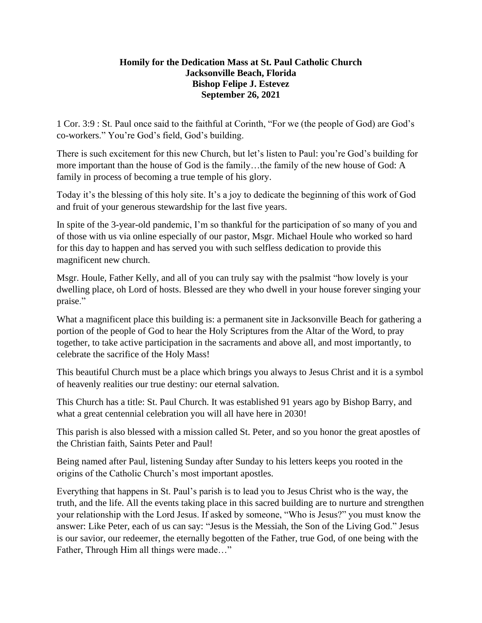## **Homily for the Dedication Mass at St. Paul Catholic Church Jacksonville Beach, Florida Bishop Felipe J. Estevez September 26, 2021**

1 Cor. 3:9 : St. Paul once said to the faithful at Corinth, "For we (the people of God) are God's co-workers." You're God's field, God's building.

There is such excitement for this new Church, but let's listen to Paul: you're God's building for more important than the house of God is the family…the family of the new house of God: A family in process of becoming a true temple of his glory.

Today it's the blessing of this holy site. It's a joy to dedicate the beginning of this work of God and fruit of your generous stewardship for the last five years.

In spite of the 3-year-old pandemic, I'm so thankful for the participation of so many of you and of those with us via online especially of our pastor, Msgr. Michael Houle who worked so hard for this day to happen and has served you with such selfless dedication to provide this magnificent new church.

Msgr. Houle, Father Kelly, and all of you can truly say with the psalmist "how lovely is your dwelling place, oh Lord of hosts. Blessed are they who dwell in your house forever singing your praise."

What a magnificent place this building is: a permanent site in Jacksonville Beach for gathering a portion of the people of God to hear the Holy Scriptures from the Altar of the Word, to pray together, to take active participation in the sacraments and above all, and most importantly, to celebrate the sacrifice of the Holy Mass!

This beautiful Church must be a place which brings you always to Jesus Christ and it is a symbol of heavenly realities our true destiny: our eternal salvation.

This Church has a title: St. Paul Church. It was established 91 years ago by Bishop Barry, and what a great centennial celebration you will all have here in 2030!

This parish is also blessed with a mission called St. Peter, and so you honor the great apostles of the Christian faith, Saints Peter and Paul!

Being named after Paul, listening Sunday after Sunday to his letters keeps you rooted in the origins of the Catholic Church's most important apostles.

Everything that happens in St. Paul's parish is to lead you to Jesus Christ who is the way, the truth, and the life. All the events taking place in this sacred building are to nurture and strengthen your relationship with the Lord Jesus. If asked by someone, "Who is Jesus?" you must know the answer: Like Peter, each of us can say: "Jesus is the Messiah, the Son of the Living God." Jesus is our savior, our redeemer, the eternally begotten of the Father, true God, of one being with the Father, Through Him all things were made…"